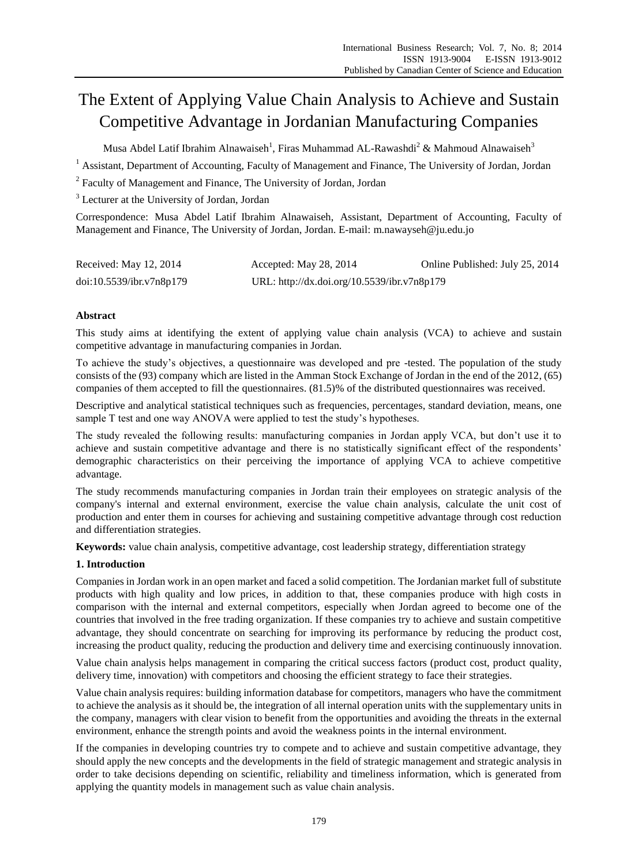# The Extent of Applying Value Chain Analysis to Achieve and Sustain Competitive Advantage in Jordanian Manufacturing Companies

Musa Abdel Latif Ibrahim Alnawaiseh<sup>1</sup>, Firas Muhammad AL-Rawashdi<sup>2</sup> & Mahmoud Alnawaiseh<sup>3</sup>

 $1$  Assistant, Department of Accounting, Faculty of Management and Finance, The University of Jordan, Jordan

 $2$  Faculty of Management and Finance, The University of Jordan, Jordan

<sup>3</sup> Lecturer at the University of Jordan, Jordan

Correspondence: Musa Abdel Latif Ibrahim Alnawaiseh, Assistant, Department of Accounting, Faculty of Management and Finance, The University of Jordan, Jordan. E-mail: m.nawayseh@ju.edu.jo

| Received: May 12, 2014   | Accepted: May 28, 2014                      | Online Published: July 25, 2014 |
|--------------------------|---------------------------------------------|---------------------------------|
| doi:10.5539/ibr.v7n8p179 | URL: http://dx.doi.org/10.5539/ibr.v7n8p179 |                                 |

# **Abstract**

This study aims at identifying the extent of applying value chain analysis (VCA) to achieve and sustain competitive advantage in manufacturing companies in Jordan.

To achieve the study's objectives, a questionnaire was developed and pre -tested. The population of the study consists of the (93) company which are listed in the Amman Stock Exchange of Jordan in the end of the 2012, (65) companies of them accepted to fill the questionnaires. (81.5)% of the distributed questionnaires was received.

Descriptive and analytical statistical techniques such as frequencies, percentages, standard deviation, means, one sample T test and one way ANOVA were applied to test the study's hypotheses.

The study revealed the following results: manufacturing companies in Jordan apply VCA, but don't use it to achieve and sustain competitive advantage and there is no statistically significant effect of the respondents' demographic characteristics on their perceiving the importance of applying VCA to achieve competitive advantage.

The study recommends manufacturing companies in Jordan train their employees on strategic analysis of the company's internal and external environment, exercise the value chain analysis, calculate the unit cost of production and enter them in courses for achieving and sustaining competitive advantage through cost reduction and differentiation strategies.

**Keywords:** value chain analysis, competitive advantage, cost leadership strategy, differentiation strategy

# **1. Introduction**

Companies in Jordan work in an open market and faced a solid competition. The Jordanian market full of substitute products with high quality and low prices, in addition to that, these companies produce with high costs in comparison with the internal and external competitors, especially when Jordan agreed to become one of the countries that involved in the free trading organization. If these companies try to achieve and sustain competitive advantage, they should concentrate on searching for improving its performance by reducing the product cost, increasing the product quality, reducing the production and delivery time and exercising continuously innovation.

Value chain analysis helps management in comparing the critical success factors (product cost, product quality, delivery time, innovation) with competitors and choosing the efficient strategy to face their strategies.

Value chain analysis requires: building information database for competitors, managers who have the commitment to achieve the analysis as it should be, the integration of all internal operation units with the supplementary units in the company, managers with clear vision to benefit from the opportunities and avoiding the threats in the external environment, enhance the strength points and avoid the weakness points in the internal environment.

If the companies in developing countries try to compete and to achieve and sustain competitive advantage, they should apply the new concepts and the developments in the field of strategic management and strategic analysis in order to take decisions depending on scientific, reliability and timeliness information, which is generated from applying the quantity models in management such as value chain analysis.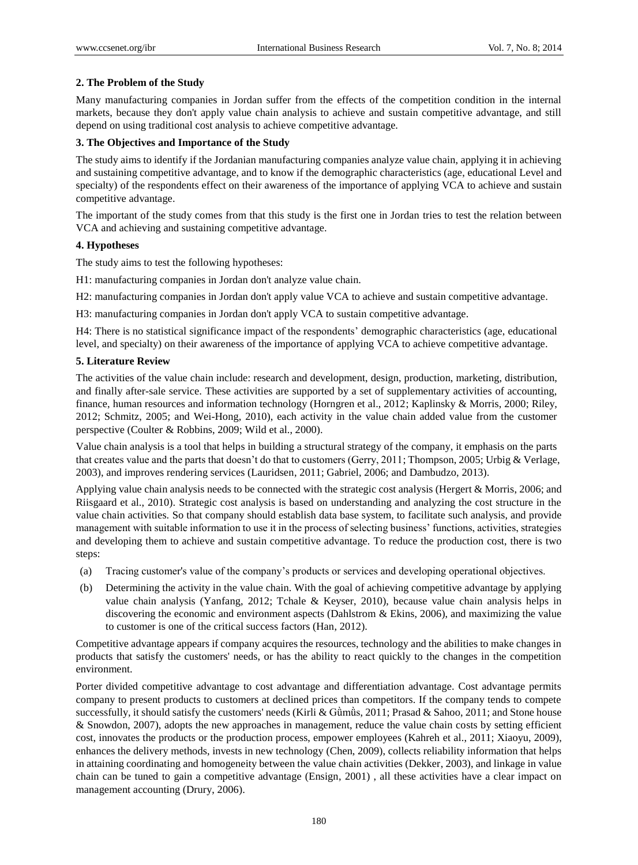# **2. The Problem of the Study**

Many manufacturing companies in Jordan suffer from the effects of the competition condition in the internal markets, because they don't apply value chain analysis to achieve and sustain competitive advantage, and still depend on using traditional cost analysis to achieve competitive advantage.

# **3. The Objectives and Importance of the Study**

The study aims to identify if the Jordanian manufacturing companies analyze value chain, applying it in achieving and sustaining competitive advantage, and to know if the demographic characteristics (age, educational Level and specialty) of the respondents effect on their awareness of the importance of applying VCA to achieve and sustain competitive advantage.

The important of the study comes from that this study is the first one in Jordan tries to test the relation between VCA and achieving and sustaining competitive advantage.

# **4. Hypotheses**

The study aims to test the following hypotheses:

H1: manufacturing companies in Jordan don't analyze value chain.

H2: manufacturing companies in Jordan don't apply value VCA to achieve and sustain competitive advantage.

H3: manufacturing companies in Jordan don't apply VCA to sustain competitive advantage.

H4: There is no statistical significance impact of the respondents' demographic characteristics (age, educational level, and specialty) on their awareness of the importance of applying VCA to achieve competitive advantage.

# **5. Literature Review**

The activities of the value chain include: research and development, design, production, marketing, distribution, and finally after-sale service. These activities are supported by a set of supplementary activities of accounting, finance, human resources and information technology (Horngren et al., 2012; Kaplinsky & Morris, 2000; Riley, 2012; Schmitz, 2005; and Wei-Hong, 2010), each activity in the value chain added value from the customer perspective (Coulter & Robbins, 2009; Wild et al., 2000).

Value chain analysis is a tool that helps in building a structural strategy of the company, it emphasis on the parts that creates value and the parts that doesn't do that to customers (Gerry, 2011; Thompson, 2005; Urbig & Verlage, 2003), and improves rendering services (Lauridsen, 2011; Gabriel, 2006; and Dambudzo, 2013).

Applying value chain analysis needs to be connected with the strategic cost analysis (Hergert & Morris, 2006; and Riisgaard et al., 2010). Strategic cost analysis is based on understanding and analyzing the cost structure in the value chain activities. So that company should establish data base system, to facilitate such analysis, and provide management with suitable information to use it in the process of selecting business' functions, activities, strategies and developing them to achieve and sustain competitive advantage. To reduce the production cost, there is two steps:

- (a) Tracing customer's value of the company's products or services and developing operational objectives.
- (b) Determining the activity in the value chain. With the goal of achieving competitive advantage by applying value chain analysis (Yanfang, 2012; Tchale & Keyser, 2010), because value chain analysis helps in discovering the economic and environment aspects (Dahlstrom & Ekins, 2006), and maximizing the value to customer is one of the critical success factors (Han, 2012).

Competitive advantage appears if company acquires the resources, technology and the abilities to make changes in products that satisfy the customers' needs, or has the ability to react quickly to the changes in the competition environment.

Porter divided competitive advantage to cost advantage and differentiation advantage. Cost advantage permits company to present products to customers at declined prices than competitors. If the company tends to compete successfully, it should satisfy the customers' needs (Kirli & Gümüs, 2011; Prasad & Sahoo, 2011; and Stone house & Snowdon, 2007), adopts the new approaches in management, reduce the value chain costs by setting efficient cost, innovates the products or the production process, empower employees (Kahreh et al., 2011; Xiaoyu, 2009), enhances the delivery methods, invests in new technology (Chen, 2009), collects reliability information that helps in attaining coordinating and homogeneity between the value chain activities (Dekker, 2003), and linkage in value chain can be tuned to gain a competitive advantage (Ensign, 2001) , all these activities have a clear impact on management accounting (Drury, 2006).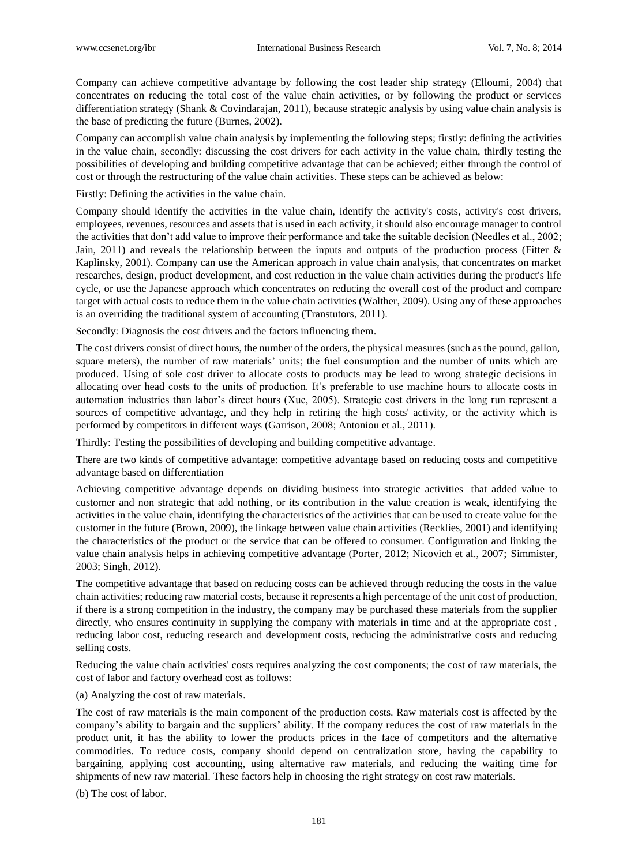Company can achieve competitive advantage by following the cost leader ship strategy (Elloumi, 2004) that concentrates on reducing the total cost of the value chain activities, or by following the product or services differentiation strategy (Shank & Covindarajan, 2011), because strategic analysis by using value chain analysis is the base of predicting the future (Burnes, 2002).

Company can accomplish value chain analysis by implementing the following steps; firstly: defining the activities in the value chain, secondly: discussing the cost drivers for each activity in the value chain, thirdly testing the possibilities of developing and building competitive advantage that can be achieved; either through the control of cost or through the restructuring of the value chain activities. These steps can be achieved as below:

Firstly: Defining the activities in the value chain.

Company should identify the activities in the value chain, identify the activity's costs, activity's cost drivers, employees, revenues, resources and assets that is used in each activity, it should also encourage manager to control the activities that don't add value to improve their performance and take the suitable decision (Needles et al., 2002; Jain, 2011) and reveals the relationship between the inputs and outputs of the production process (Fitter & Kaplinsky, 2001). Company can use the American approach in value chain analysis, that concentrates on market researches, design, product development, and cost reduction in the value chain activities during the product's life cycle, or use the Japanese approach which concentrates on reducing the overall cost of the product and compare target with actual costs to reduce them in the value chain activities (Walther, 2009). Using any of these approaches is an overriding the traditional system of accounting (Transtutors, 2011).

Secondly: Diagnosis the cost drivers and the factors influencing them.

The cost drivers consist of direct hours, the number of the orders, the physical measures (such as the pound, gallon, square meters), the number of raw materials' units; the fuel consumption and the number of units which are produced. Using of sole cost driver to allocate costs to products may be lead to wrong strategic decisions in allocating over head costs to the units of production. It's preferable to use machine hours to allocate costs in automation industries than labor's direct hours (Xue, 2005). Strategic cost drivers in the long run represent a sources of competitive advantage, and they help in retiring the high costs' activity, or the activity which is performed by competitors in different ways (Garrison, 2008; Antoniou et al., 2011).

Thirdly: Testing the possibilities of developing and building competitive advantage.

There are two kinds of competitive advantage: competitive advantage based on reducing costs and competitive advantage based on differentiation

Achieving competitive advantage depends on dividing business into strategic activities that added value to customer and non strategic that add nothing, or its contribution in the value creation is weak, identifying the activities in the value chain, identifying the characteristics of the activities that can be used to create value for the customer in the future (Brown, 2009), the linkage between value chain activities (Recklies, 2001) and identifying the characteristics of the product or the service that can be offered to consumer. Configuration and linking the value chain analysis helps in achieving competitive advantage (Porter, 2012; Nicovich et al., 2007; Simmister, 2003; Singh, 2012).

The competitive advantage that based on reducing costs can be achieved through reducing the costs in the value chain activities; reducing raw material costs, because it represents a high percentage of the unit cost of production, if there is a strong competition in the industry, the company may be purchased these materials from the supplier directly, who ensures continuity in supplying the company with materials in time and at the appropriate cost , reducing labor cost, reducing research and development costs, reducing the administrative costs and reducing selling costs.

Reducing the value chain activities' costs requires analyzing the cost components; the cost of raw materials, the cost of labor and factory overhead cost as follows:

(a) Analyzing the cost of raw materials.

The cost of raw materials is the main component of the production costs. Raw materials cost is affected by the company's ability to bargain and the suppliers' ability. If the company reduces the cost of raw materials in the product unit, it has the ability to lower the products prices in the face of competitors and the alternative commodities. To reduce costs, company should depend on centralization store, having the capability to bargaining, applying cost accounting, using alternative raw materials, and reducing the waiting time for shipments of new raw material. These factors help in choosing the right strategy on cost raw materials.

(b) The cost of labor.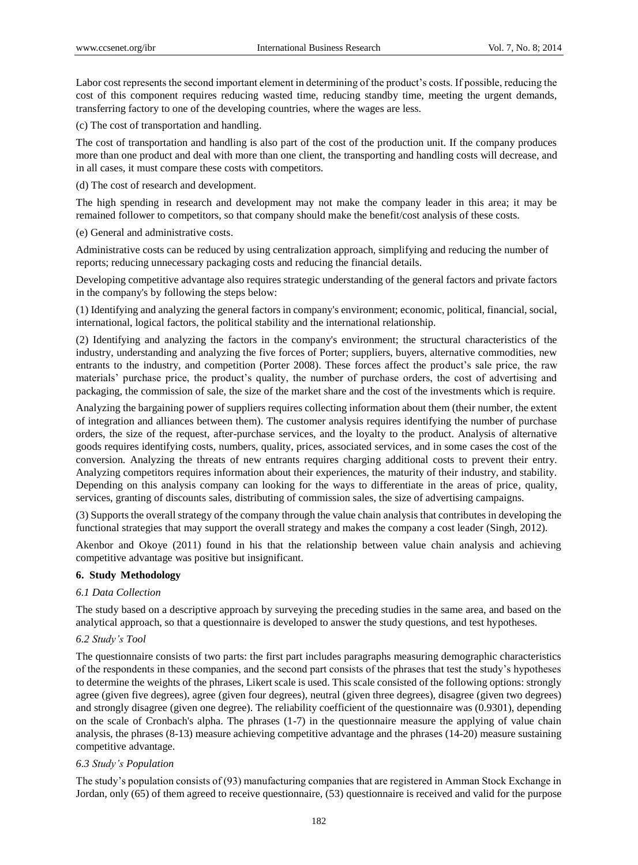Labor cost represents the second important element in determining of the product's costs. If possible, reducing the cost of this component requires reducing wasted time, reducing standby time, meeting the urgent demands, transferring factory to one of the developing countries, where the wages are less.

(c) The cost of transportation and handling.

The cost of transportation and handling is also part of the cost of the production unit. If the company produces more than one product and deal with more than one client, the transporting and handling costs will decrease, and in all cases, it must compare these costs with competitors.

(d) The cost of research and development.

The high spending in research and development may not make the company leader in this area; it may be remained follower to competitors, so that company should make the benefit/cost analysis of these costs.

(e) General and administrative costs.

Administrative costs can be reduced by using centralization approach, simplifying and reducing the number of reports; reducing unnecessary packaging costs and reducing the financial details.

Developing competitive advantage also requires strategic understanding of the general factors and private factors in the company's by following the steps below:

(1) Identifying and analyzing the general factors in company's environment; economic, political, financial, social, international, logical factors, the political stability and the international relationship.

(2) Identifying and analyzing the factors in the company's environment; the structural characteristics of the industry, understanding and analyzing the five forces of Porter; suppliers, buyers, alternative commodities, new entrants to the industry, and competition (Porter 2008). These forces affect the product's sale price, the raw materials' purchase price, the product's quality, the number of purchase orders, the cost of advertising and packaging, the commission of sale, the size of the market share and the cost of the investments which is require.

Analyzing the bargaining power of suppliers requires collecting information about them (their number, the extent of integration and alliances between them). The customer analysis requires identifying the number of purchase orders, the size of the request, after-purchase services, and the loyalty to the product. Analysis of alternative goods requires identifying costs, numbers, quality, prices, associated services, and in some cases the cost of the conversion. Analyzing the threats of new entrants requires charging additional costs to prevent their entry. Analyzing competitors requires information about their experiences, the maturity of their industry, and stability. Depending on this analysis company can looking for the ways to differentiate in the areas of price, quality, services, granting of discounts sales, distributing of commission sales, the size of advertising campaigns.

(3) Supports the overall strategy of the company through the value chain analysis that contributes in developing the functional strategies that may support the overall strategy and makes the company a cost leader (Singh, 2012).

Akenbor and Okoye (2011) found in his that the relationship between value chain analysis and achieving competitive advantage was positive but insignificant.

#### **6. Study Methodology**

#### *6.1 Data Collection*

The study based on a descriptive approach by surveying the preceding studies in the same area, and based on the analytical approach, so that a questionnaire is developed to answer the study questions, and test hypotheses.

#### *6.2 Study's Tool*

The questionnaire consists of two parts: the first part includes paragraphs measuring demographic characteristics of the respondents in these companies, and the second part consists of the phrases that test the study's hypotheses to determine the weights of the phrases, Likert scale is used. This scale consisted of the following options: strongly agree (given five degrees), agree (given four degrees), neutral (given three degrees), disagree (given two degrees) and strongly disagree (given one degree). The reliability coefficient of the questionnaire was (0.9301), depending on the scale of Cronbach's alpha. The phrases (1-7) in the questionnaire measure the applying of value chain analysis, the phrases (8-13) measure achieving competitive advantage and the phrases (14-20) measure sustaining competitive advantage.

#### *6.3 Study's Population*

The study's population consists of (93) manufacturing companies that are registered in Amman Stock Exchange in Jordan, only (65) of them agreed to receive questionnaire, (53) questionnaire is received and valid for the purpose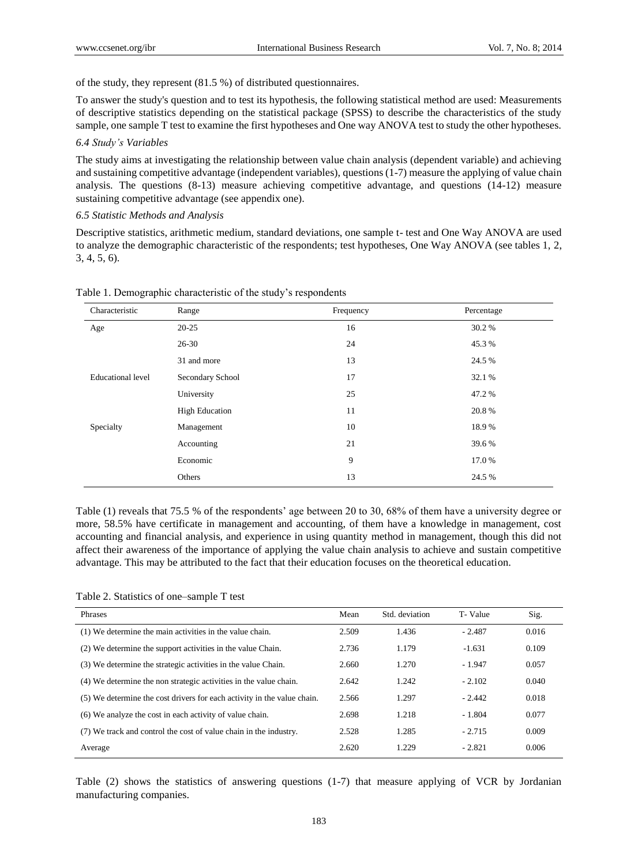of the study, they represent (81.5 %) of distributed questionnaires.

To answer the study's question and to test its hypothesis, the following statistical method are used: Measurements of descriptive statistics depending on the statistical package (SPSS) to describe the characteristics of the study sample, one sample T test to examine the first hypotheses and One way ANOVA test to study the other hypotheses.

#### *6.4 Study's Variables*

The study aims at investigating the relationship between value chain analysis (dependent variable) and achieving and sustaining competitive advantage (independent variables), questions (1-7) measure the applying of value chain analysis. The questions (8-13) measure achieving competitive advantage, and questions (14-12) measure sustaining competitive advantage (see appendix one).

#### *6.5 Statistic Methods and Analysis*

Descriptive statistics, arithmetic medium, standard deviations, one sample t- test and One Way ANOVA are used to analyze the demographic characteristic of the respondents; test hypotheses, One Way ANOVA (see tables 1, 2, 3, 4, 5, 6).

| Characteristic    | Range                 | Frequency | Percentage |
|-------------------|-----------------------|-----------|------------|
| Age               | $20 - 25$             | 16        | 30.2 %     |
|                   | $26 - 30$             | 24        | 45.3%      |
|                   | 31 and more           | 13        | 24.5 %     |
| Educational level | Secondary School      | 17        | 32.1 %     |
|                   | University            | 25        | 47.2 %     |
|                   | <b>High Education</b> | 11        | 20.8%      |
| Specialty         | Management            | 10        | 18.9%      |
|                   | Accounting            | 21        | 39.6%      |
|                   | Economic              | 9         | 17.0 %     |
|                   | Others                | 13        | 24.5 %     |

Table 1. Demographic characteristic of the study's respondents

Table (1) reveals that 75.5 % of the respondents' age between 20 to 30, 68% of them have a university degree or more, 58.5% have certificate in management and accounting, of them have a knowledge in management, cost accounting and financial analysis, and experience in using quantity method in management, though this did not affect their awareness of the importance of applying the value chain analysis to achieve and sustain competitive advantage. This may be attributed to the fact that their education focuses on the theoretical education.

Table 2. Statistics of one–sample T test

| Phrases                                                                 | Mean  | Std. deviation | T-Value  | Sig.  |
|-------------------------------------------------------------------------|-------|----------------|----------|-------|
| (1) We determine the main activities in the value chain.                | 2.509 | 1.436          | $-2.487$ | 0.016 |
| (2) We determine the support activities in the value Chain.             | 2.736 | 1.179          | $-1.631$ | 0.109 |
| (3) We determine the strategic activities in the value Chain.           | 2.660 | 1.270          | $-1.947$ | 0.057 |
| (4) We determine the non strategic activities in the value chain.       | 2.642 | 1.242          | $-2.102$ | 0.040 |
| (5) We determine the cost drivers for each activity in the value chain. | 2.566 | 1.297          | $-2.442$ | 0.018 |
| (6) We analyze the cost in each activity of value chain.                | 2.698 | 1.218          | $-1.804$ | 0.077 |
| (7) We track and control the cost of value chain in the industry.       | 2.528 | 1.285          | $-2.715$ | 0.009 |
| Average                                                                 | 2.620 | 1.229          | $-2.821$ | 0.006 |

Table (2) shows the statistics of answering questions (1-7) that measure applying of VCR by Jordanian manufacturing companies.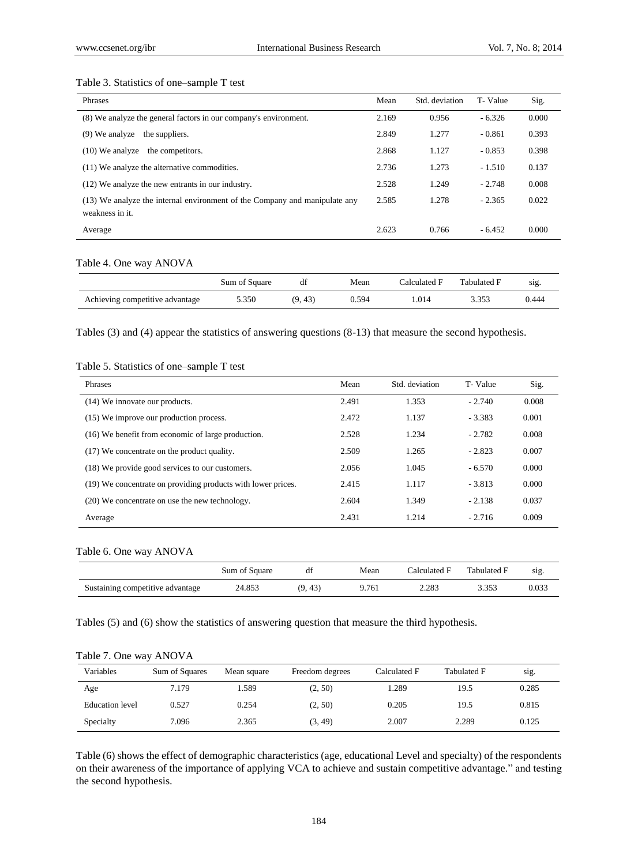#### Table 3. Statistics of one–sample T test

| <b>Phrases</b>                                                                                | Mean  | Std. deviation | T-Value  | Sig.  |
|-----------------------------------------------------------------------------------------------|-------|----------------|----------|-------|
| (8) We analyze the general factors in our company's environment.                              | 2.169 | 0.956          | $-6.326$ | 0.000 |
| $(9)$ We analyze<br>the suppliers.                                                            | 2.849 | 1.277          | $-0.861$ | 0.393 |
| $(10)$ We analyze<br>the competitors.                                                         | 2.868 | 1.127          | $-0.853$ | 0.398 |
| (11) We analyze the alternative commodities.                                                  | 2.736 | 1.273          | $-1.510$ | 0.137 |
| (12) We analyze the new entrants in our industry.                                             | 2.528 | 1.249          | $-2.748$ | 0.008 |
| (13) We analyze the internal environment of the Company and manipulate any<br>weakness in it. | 2.585 | 1.278          | $-2.365$ | 0.022 |
| Average                                                                                       | 2.623 | 0.766          | $-6.452$ | 0.000 |

### Table 4. One way ANOVA

|                                 | Sum of Square | df      | Mean  | Calculated F | Tabulated F | $S1Q$ . |
|---------------------------------|---------------|---------|-------|--------------|-------------|---------|
| Achieving competitive advantage | 5.350         | (9, 43) | 0.594 | .014         | : 353       | 0.444   |

Tables (3) and (4) appear the statistics of answering questions (8-13) that measure the second hypothesis.

### Table 5. Statistics of one–sample T test

| Phrases                                                      | Mean  | Std. deviation | T-Value  | Sig.  |
|--------------------------------------------------------------|-------|----------------|----------|-------|
| (14) We innovate our products.                               | 2.491 | 1.353          | $-2.740$ | 0.008 |
| (15) We improve our production process.                      | 2.472 | 1.137          | $-3.383$ | 0.001 |
| (16) We benefit from economic of large production.           | 2.528 | 1.234          | $-2.782$ | 0.008 |
| (17) We concentrate on the product quality.                  | 2.509 | 1.265          | $-2.823$ | 0.007 |
| (18) We provide good services to our customers.              | 2.056 | 1.045          | $-6.570$ | 0.000 |
| (19) We concentrate on providing products with lower prices. | 2.415 | 1.117          | $-3.813$ | 0.000 |
| (20) We concentrate on use the new technology.               | 2.604 | 1.349          | $-2.138$ | 0.037 |
| Average                                                      | 2.431 | 1.214          | $-2.716$ | 0.009 |

### Table 6. One way ANOVA

|                                  | Sum of Square |         | Mean  | Calculated F | Tabulated F | sig.  |
|----------------------------------|---------------|---------|-------|--------------|-------------|-------|
| Sustaining competitive advantage | 24.853        | (9, 43) | 9.761 | 2.283        | 3.353       | 0.033 |

Tables (5) and (6) show the statistics of answering question that measure the third hypothesis.

| Variables              | Sum of Squares | Mean square | Freedom degrees | Calculated F | Tabulated F | sig.  |
|------------------------|----------------|-------------|-----------------|--------------|-------------|-------|
| Age                    | 7.179          | 1.589       | (2, 50)         | . 289        | 19.5        | 0.285 |
| <b>Education</b> level | 0.527          | 0.254       | (2, 50)         | 0.205        | 19.5        | 0.815 |
| Specialty              | 7.096          | 2.365       | (3, 49)         | 2.007        | 2.289       | 0.125 |

Table (6) shows the effect of demographic characteristics (age, educational Level and specialty) of the respondents on their awareness of the importance of applying VCA to achieve and sustain competitive advantage." and testing the second hypothesis.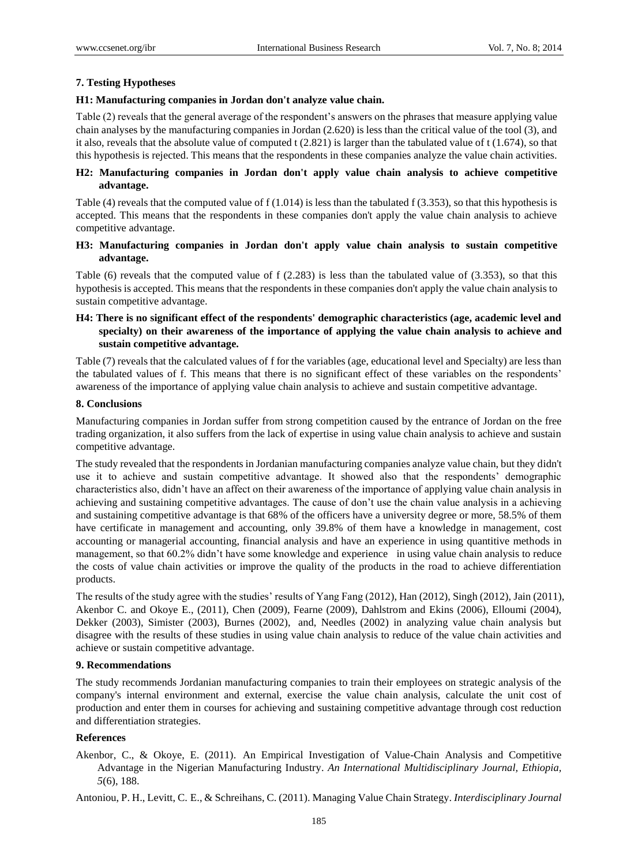# **7. Testing Hypotheses**

# **H1: Manufacturing companies in Jordan don't analyze value chain.**

Table (2) reveals that the general average of the respondent's answers on the phrases that measure applying value chain analyses by the manufacturing companies in Jordan (2.620) is less than the critical value of the tool (3), and it also, reveals that the absolute value of computed t  $(2.821)$  is larger than the tabulated value of t  $(1.674)$ , so that this hypothesis is rejected. This means that the respondents in these companies analyze the value chain activities.

# **H2: Manufacturing companies in Jordan don't apply value chain analysis to achieve competitive advantage.**

Table (4) reveals that the computed value of  $f(1.014)$  is less than the tabulated  $f(3.353)$ , so that this hypothesis is accepted. This means that the respondents in these companies don't apply the value chain analysis to achieve competitive advantage.

# **H3: Manufacturing companies in Jordan don't apply value chain analysis to sustain competitive advantage.**

Table (6) reveals that the computed value of f (2.283) is less than the tabulated value of (3.353), so that this hypothesis is accepted. This means that the respondents in these companies don't apply the value chain analysis to sustain competitive advantage.

# **H4: There is no significant effect of the respondents' demographic characteristics (age, academic level and specialty) on their awareness of the importance of applying the value chain analysis to achieve and sustain competitive advantage.**

Table (7) reveals that the calculated values of f for the variables (age, educational level and Specialty) are less than the tabulated values of f. This means that there is no significant effect of these variables on the respondents' awareness of the importance of applying value chain analysis to achieve and sustain competitive advantage.

# **8. Conclusions**

Manufacturing companies in Jordan suffer from strong competition caused by the entrance of Jordan on the free trading organization, it also suffers from the lack of expertise in using value chain analysis to achieve and sustain competitive advantage.

The study revealed that the respondents in Jordanian manufacturing companies analyze value chain, but they didn't use it to achieve and sustain competitive advantage. It showed also that the respondents' demographic characteristics also, didn't have an affect on their awareness of the importance of applying value chain analysis in achieving and sustaining competitive advantages. The cause of don't use the chain value analysis in a achieving and sustaining competitive advantage is that 68% of the officers have a university degree or more, 58.5% of them have certificate in management and accounting, only 39.8% of them have a knowledge in management, cost accounting or managerial accounting, financial analysis and have an experience in using quantitive methods in management, so that 60.2% didn't have some knowledge and experience in using value chain analysis to reduce the costs of value chain activities or improve the quality of the products in the road to achieve differentiation products.

The results of the study agree with the studies' results of Yang Fang (2012), Han (2012), Singh (2012), Jain (2011), Akenbor C. and Okoye E., (2011), Chen (2009), Fearne (2009), Dahlstrom and Ekins (2006), Elloumi (2004), Dekker (2003), Simister (2003), Burnes (2002), and, Needles (2002) in analyzing value chain analysis but disagree with the results of these studies in using value chain analysis to reduce of the value chain activities and achieve or sustain competitive advantage.

# **9. Recommendations**

The study recommends Jordanian manufacturing companies to train their employees on strategic analysis of the company's internal environment and external, exercise the value chain analysis, calculate the unit cost of production and enter them in courses for achieving and sustaining competitive advantage through cost reduction and differentiation strategies.

# **References**

Akenbor, C., & Okoye, E. (2011). An Empirical Investigation of Value-Chain Analysis and Competitive Advantage in the Nigerian Manufacturing Industry. *An International Multidisciplinary Journal, Ethiopia, 5*(6), 188.

Antoniou, P. H., Levitt, C. E., & Schreihans, C. (2011). Managing Value Chain Strategy. *Interdisciplinary Journal*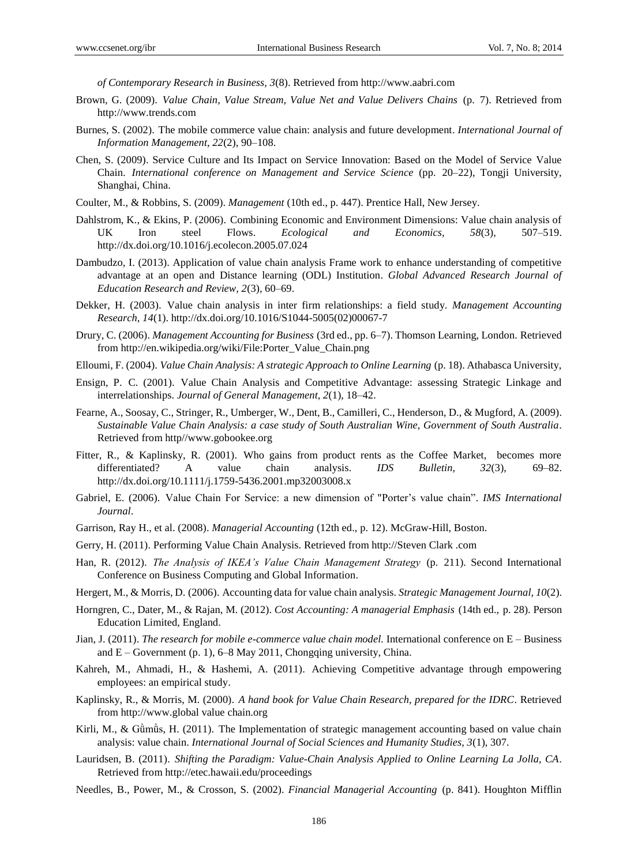*of Contemporary Research in Business, 3*(8). Retrieved from http://www.aabri.com

- Brown, G. (2009). *Value Chain, Value Stream, Value Net and Value Delivers Chains* (p. 7). Retrieved from http://www.trends.com
- Burnes, S. (2002). The mobile commerce value chain: analysis and future development. *International Journal of Information Management, 22*(2), 90–108.
- Chen, S. (2009). Service Culture and Its Impact on Service Innovation: Based on the Model of Service Value Chain. *International conference on Management and Service Science* (pp. 20–22), Tongji University, Shanghai, China.
- Coulter, M., & Robbins, S. (2009). *Management* (10th ed., p. 447). Prentice Hall, New Jersey.
- Dahlstrom, K., & Ekins, P. (2006). Combining Economic and Environment Dimensions: Value chain analysis of UK Iron steel Flows. *Ecological and Economics, 58*(3), 507–519. http://dx.doi.org/10.1016/j.ecolecon.2005.07.024
- Dambudzo, I. (2013). Application of value chain analysis Frame work to enhance understanding of competitive advantage at an open and Distance learning (ODL) Institution. *Global Advanced Research Journal of Education Research and Review, 2*(3), 60–69.
- Dekker, H. (2003). Value chain analysis in inter firm relationships: a field study. *Management Accounting Research, 14*(1). http://dx.doi.org/10.1016/S1044-5005(02)00067-7
- Drury, C. (2006). *Management Accounting for Business* (3rd ed., pp. 6–7). Thomson Learning, London. Retrieved from http://en.wikipedia.org/wiki/File:Porter\_Value\_Chain.png
- Elloumi, F. (2004). *Value Chain Analysis: A strategic Approach to Online Learning* (p. 18). Athabasca University,
- Ensign, P. C. (2001). Value Chain Analysis and Competitive Advantage: assessing Strategic Linkage and interrelationships. *Journal of General Management, 2*(1), 18–42.
- Fearne, A., Soosay, C., Stringer, R., Umberger, W., Dent, B., Camilleri, C., Henderson, D., & Mugford, A. (2009). *Sustainable Value Chain Analysis: a case study of South Australian Wine, Government of South Australia*. Retrieved from http//www.gobookee.org
- Fitter, R., & Kaplinsky, R. (2001). Who gains from product rents as the Coffee Market, becomes more differentiated? A value chain analysis. *IDS Bulletin, 32*(3), 69–82. http://dx.doi.org/10.1111/j.1759-5436.2001.mp32003008.x
- Gabriel, E. (2006). Value Chain For Service: a new dimension of "Porter's value chain". *IMS International Journal*.
- Garrison, Ray H., et al. (2008). *Managerial Accounting* (12th ed., p. 12). McGraw-Hill, Boston.
- Gerry, H. (2011). Performing Value Chain Analysis. Retrieved from http://Steven Clark .com
- Han, R. (2012). *The Analysis of IKEA's Value Chain Management Strategy* (p. 211). Second International Conference on Business Computing and Global Information.
- Hergert, M., & Morris, D. (2006). Accounting data for value chain analysis. *Strategic Management Journal, 10*(2).
- Horngren, C., Dater, M., & Rajan, M. (2012). *Cost Accounting: A managerial Emphasis* (14th ed., p. 28). Person Education Limited, England.
- Jian, J. (2011). *The research for mobile e-commerce value chain model.* International conference on E Business and E – Government (p. 1), 6–8 May 2011, Chongqing university, China.
- Kahreh, M., Ahmadi, H., & Hashemi, A. (2011). Achieving Competitive advantage through empowering employees: an empirical study.
- Kaplinsky, R., & Morris, M. (2000). *A hand book for Value Chain Research, prepared for the IDRC*. Retrieved from http://www.global value chain.org
- Kirli, M., & Gümüs, H. (2011). The Implementation of strategic management accounting based on value chain analysis: value chain. *International Journal of Social Sciences and Humanity Studies, 3*(1), 307.
- Lauridsen, B. (2011). *Shifting the Paradigm: Value-Chain Analysis Applied to Online Learning La Jolla, CA*. Retrieved from http://etec.hawaii.edu/proceedings
- Needles, B., Power, M., & Crosson, S. (2002). *Financial Managerial Accounting* (p. 841). Houghton Mifflin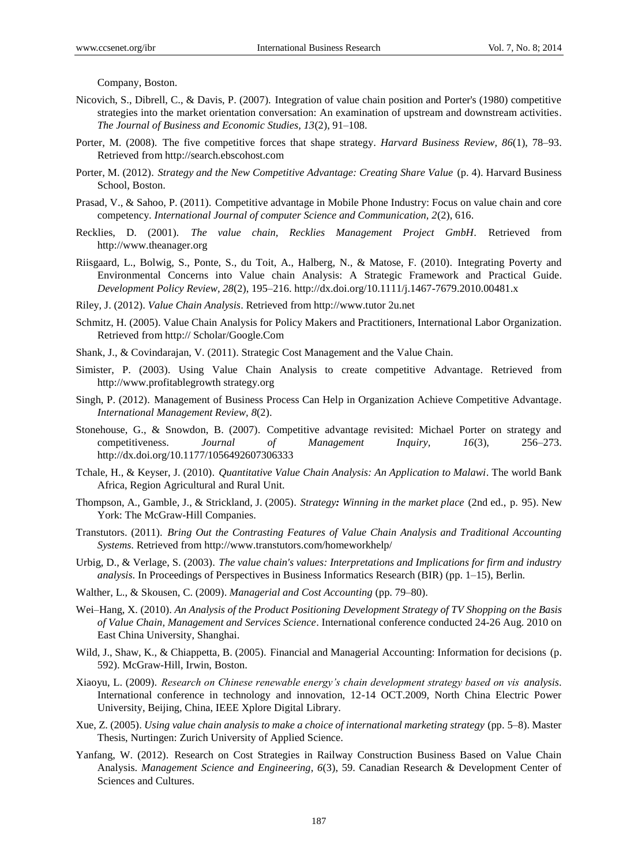Company, Boston.

- Nicovich, S., Dibrell, C., & Davis, P. (2007). Integration of value chain position and Porter's (1980) competitive strategies into the market orientation conversation: An examination of upstream and downstream activities. *The Journal of Business and Economic Studies, 13*(2), 91–108.
- Porter, M. (2008). The five competitive forces that shape strategy. *Harvard Business Review, 86*(1), 78–93. Retrieved from http://search.ebscohost.com
- Porter, M. (2012). *Strategy and the New Competitive Advantage: Creating Share Value* (p. 4). Harvard Business School, Boston.
- Prasad, V., & Sahoo, P. (2011). Competitive advantage in Mobile Phone Industry: Focus on value chain and core competency. *International Journal of computer Science and Communication, 2*(2), 616.
- Recklies, D. (2001). *The value chain, Recklies Management Project GmbH*. Retrieved from http://www.theanager.org
- Riisgaard, L., Bolwig, S., Ponte, S., du Toit, A., Halberg, N., & Matose, F. (2010). Integrating Poverty and Environmental Concerns into Value chain Analysis: A Strategic Framework and Practical Guide. *Development Policy Review, 28*(2), 195–216. http://dx.doi.org/10.1111/j.1467-7679.2010.00481.x
- Riley, J. (2012). *Value Chain Analysis*. Retrieved from http://www.tutor 2u.net
- Schmitz, H. (2005). Value Chain Analysis for Policy Makers and Practitioners, International Labor Organization. Retrieved from http:// Scholar/Google.Com
- Shank, J., & Covindarajan, V. (2011). Strategic Cost Management and the Value Chain.
- Simister, P. (2003). Using Value Chain Analysis to create competitive Advantage. Retrieved from http://www.profitablegrowth strategy.org
- Singh, P. (2012). Management of Business Process Can Help in Organization Achieve Competitive Advantage. *International Management Review, 8*(2).
- Stonehouse, G., & Snowdon, B. (2007). Competitive advantage revisited: Michael Porter on strategy and competitiveness. *Journal of Management Inquiry, 16*(3), 256–273. http://dx.doi.org/10.1177/1056492607306333
- Tchale, H., & Keyser, J. (2010). *Quantitative Value Chain Analysis: An Application to Malawi*. The world Bank Africa, Region Agricultural and Rural Unit.
- Thompson, A., Gamble, J., & Strickland, J. (2005). *Strategy: Winning in the market place* (2nd ed., p. 95). New York: The McGraw-Hill Companies.
- Transtutors. (2011). *Bring Out the Contrasting Features of Value Chain Analysis and Traditional Accounting Systems*. Retrieved from http://www.transtutors.com/homeworkhelp/
- Urbig, D., & Verlage, S. (2003). *The value chain's values: Interpretations and Implications for firm and industry analysis*. In Proceedings of Perspectives in Business Informatics Research (BIR) (pp. 1–15), Berlin.
- Walther, L., & Skousen, C. (2009). *Managerial and Cost Accounting* (pp. 79–80).
- Wei–Hang, X. (2010). *An Analysis of the Product Positioning Development Strategy of TV Shopping on the Basis of Value Chain, Management and Services Science*. International conference conducted 24-26 Aug. 2010 on East China University, Shanghai.
- Wild, J., Shaw, K., & Chiappetta, B. (2005). Financial and Managerial Accounting: Information for decisions (p. 592). McGraw-Hill, Irwin, Boston.
- Xiaoyu, L. (2009). *Research on Chinese renewable energy's chain development strategy based on vis analysis*. International conference in technology and innovation, 12-14 OCT.2009, North China Electric Power University, Beijing, China, IEEE Xplore Digital Library.
- Xue, Z. (2005). *Using value chain analysis to make a choice of international marketing strategy* (pp. 5–8). Master Thesis, Nurtingen: Zurich University of Applied Science.
- Yanfang, W. (2012). Research on Cost Strategies in Railway Construction Business Based on Value Chain Analysis. *Management Science and Engineering, 6*(3), 59. Canadian Research & Development Center of Sciences and Cultures.